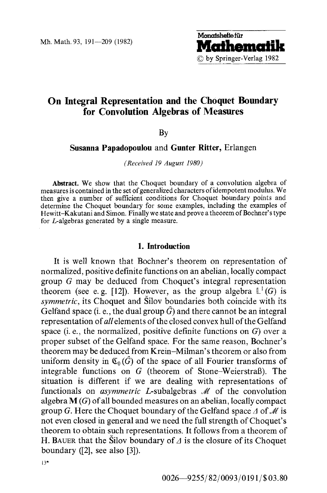

# **On Integral Representation and the Choquet Boundary for Convolution Algebras of Measures**

By

**Susanna Papadopoulou and Gunter Ritter, Erlangen** 

*(Received 19 August 1980)* 

**Abstract.** We show that the Choquet boundary of a convolution algebra of measures is contained in the set of generalized characters of idempotent modulus. We then give a number of sufficient conditions for Choquet boundary points and determine the Choquet boundary for some examples, including the examples of Hewitt-Kakutani and Simon. Finally we state and prove a theorem of Bochner's type for L-algebras generated by a single measure.

#### **1. Introduction**

It is well known that Bochner's theorem on representation of normalized, positive definite functions on an abelian, locally compact group G may be deduced from Choquet's integral representation theorem (see e.g. [12]). However, as the group algebra  $L^1(G)$  is *symmetric,* its Choquet and Silov boundaries both coincide with its Gelfand space (i. e., the dual group  $\hat{G}$ ) and there cannot be an integral representation *of all* elements of the closed convex hull of the Gelfand space (i. e., the normalized, positive definite functions on G) over a proper subset of the Gelfand space. For the same reason, Bochner's theorem may be deduced from Krein-Milman's theorem or also from uniform density in  $\mathfrak{C}_{0}(\widehat{G})$  of the space of all Fourier transforms of integrable functions on G (theorem of Stone-WeierstraB). The situation is different if we are dealing with representations of functionals on *asymmetric L*-subalgebras *M* of the convolution algebra  $M(G)$  of all bounded measures on an abelian, locally compact group G. Here the Choquet boundary of the Gelfand space  $\Delta$  of  $\mathcal M$  is not even closed in general and we need the full strength of Choquet's theorem to obtain such representations. It follows from a theorem of H. BAUER that the Silov boundary of  $\Delta$  is the closure of its Choquet boundary ([2], see also [3]).

13"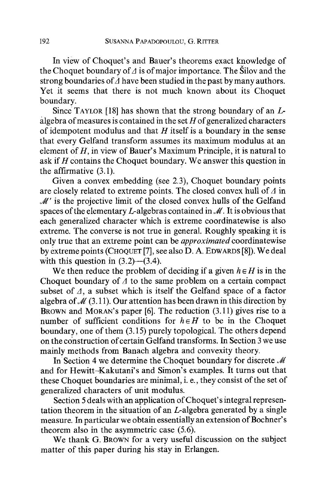In view of Choquet's and Bauer's theorems exact knowledge of the Choquet boundary of  $\Delta$  is of major importance. The Šilov and the strong boundaries of  $\overline{A}$  have been studied in the past by many authors. Yet it seems that there is not much known about its Choquet boundary.

Since TAYLOR [18] has shown that the strong boundary of an  $L$ algebra of measures is contained in the set  $H$  of generalized characters of idempotent modulus and that  $H$  itself is a boundary in the sense that every Gelfand transform assumes its maximum modulus at an element of  $H$ , in view of Bauer's Maximum Principle, it is natural to ask if  $H$  contains the Choquet boundary. We answer this question in the affirmative (3.1).

Given a convex embedding (see 2.3), Choquet boundary points are closely related to extreme points. The closed convex hull of  $\varDelta$  in  $\mathcal{M}'$  is the projective limit of the closed convex hulls of the Gelfand spaces of the elementary L-algebras contained in  $\mathcal{M}$ . It is obvious that each generalized character which is extreme coordinatewise is also extreme. The converse is not true in general. Roughly speaking it is only true that an extreme point can be *approximated* coordinatewise by extreme points (CHOQUET [7], see also D. A. EDWARDS [8]). We deal with this question in  $(3.2)$ — $(3.4)$ .

We then reduce the problem of deciding if a given  $h \in H$  is in the Choquet boundary of  $\Delta$  to the same problem on a certain compact subset of  $\Delta$ , a subset which is itself the Gelfand space of a factor algebra of  $\mathcal{M}(3,11)$ . Our attention has been drawn in this direction by BROWN and MORAN's paper [6]. The reduction (3.11) gives rise to a number of sufficient conditions for  $h \in H$  to be in the Choquet boundary, one of them (3.15) purely topological. The others depend on the construction of certain Gelfand transforms. In Section 3 we use mainly methods from Banach algebra and convexity theory.

In Section 4 we determine the Choquet boundary for discrete  $\mathcal M$ and for Hewitt-Kakutani's and Simon's examples, it turns out that these Choquet boundaries are minimal, i. e., they consist of the set of generalized characters of unit modulus.

Section 5 deals with an application of Choquet' s integral representation theorem in the situation of an L-algebra generated by a single measure. In particular we obtain essentially an extension of Bochner's theorem also in the asymmetric case (5.6).

We thank G. BROWN for a very useful discussion on the subject matter of this paper during his stay in Erlangen.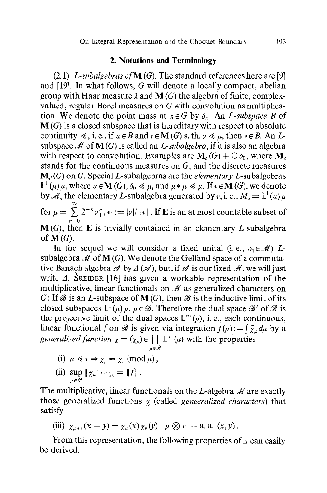### **2. Notations and Terminology**

(2.1) *L-subalgebras ofM (G).* The standard references here are [9] and [19]. In what follows, G will denote a locally compact, abelian group with Haar measure  $\lambda$  and  $M(G)$  the algebra of finite, complexvalued, regular Borel measures on G with convolution as multiplication. We denote the point mass at  $x \in G$  by  $\delta_x$ . An *L-subspace B* of  $M(G)$  is a closed subspace that is hereditary with respect to absolute continuity  $\leq$ , i. e., if  $\mu \in B$  and  $\nu \in M(G)$  s. th.  $\nu \leq \mu$ , then  $\nu \in B$ . An Lsubspace  $M$  of  $M(G)$  is called an *L-subalgebra*, if it is also an algebra with respect to convolution. Examples are  $M_c(G) + \mathbb{C} \delta_0$ , where  $M_c$ stands for the continuous measures on G, and the discrete measures  $M_d(G)$  on G. Special L-subalgebras are the *elementary L*-subalgebras  $\mathbb{L}^1(\mu) \mu$ , where  $\mu \in \mathbf{M} (G)$ ,  $\delta_0 \ll \mu$ , and  $\mu * \mu \ll \mu$ . If  $\nu \in \mathbf{M} (G)$ , we denote by  $\mathcal{M}_v$ , the elementary L-subalgebra generated by  $v$ , i. e.,  $M_v = \mathbb{L}^1(u) u$ for  $\mu = \sum 2^{-n} v_1^n$ ,  $v_1 := |v|/||v||$ . If E is an at most countable subset of  $n=0$  $M(G)$ , then E is trivially contained in an elementary *L*-subalgebra of  $\mathbf{M}(G)$ .

In the sequel we will consider a fixed unital (i.e.,  $\delta_0 \in \mathcal{M}$ ) Lsubalgebra  $M$  of  $M(G)$ . We denote the Gelfand space of a commutative Banach algebra  $\mathscr A$  by  $\Delta(\mathscr A)$ , but, if  $\mathscr A$  is our fixed  $\mathscr M$ , we will just write  $\Delta$ . SREIDER [16] has given a workable representation of the multiplicative, linear functionals on  $\mathcal M$  as generalized characters on G: If  $\mathscr B$  is an *L*-subspace of **M** (G), then  $\mathscr B$  is the inductive limit of its closed subspaces  $\mathbb{L}^1(\mu) \mu, \mu \in \mathscr{B}$ . Therefore the dual space  $\mathscr{B}'$  of  $\mathscr{B}$  is the projective limit of the dual spaces  $\mathbb{L}^{\infty}(\mu)$ , i.e., each continuous, linear functional f on  $\mathscr B$  is given via integration  $f(\mu) := \int \bar{\chi}_\mu d\mu$  by a *generalized function*  $\chi = (\chi_u) \in \prod \mathbb{C}(\mu)$  with the properties

(i) 
$$
\mu \ll \nu \Rightarrow \chi_{\mu} = \chi_{\nu} \pmod{\mu}
$$
,

(ii) 
$$
\sup_{\mu \in \mathscr{B}} \|\chi_{\mu}\|_{\mathbb{L}^{\infty}(\mu)} = \|f\|.
$$

The multiplicative, linear functionals on the L-algebra  $\mathcal M$  are exactly those generalized functions  $\chi$  (called *geneeralized characters*) that satisfy

$$
\text{(iii)}\ \ \chi_{\mu\ast\nu}(x+y)=\chi_{\mu}(x)\,\chi_{\nu}(y)\quad \mu\otimes\nu\longrightarrow\text{a. a. } (x,y)\,.
$$

From this representation, the following properties of  $\Delta$  can easily be derived.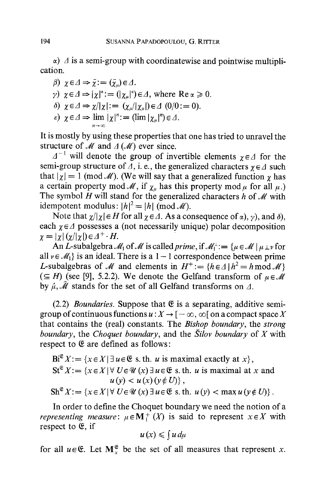$\alpha$ )  $\Delta$  is a semi-group with coordinatewise and pointwise multiplication.

$$
\beta) \ \ \chi \in \varDelta \Rightarrow \bar{\chi} := (\bar{\chi}_{\mu}) \in \varDelta.
$$

 $n\rightarrow\infty$ 

- $\gamma$ )  $\chi \in \Delta \Rightarrow |\chi|^{\alpha} := (|\chi_{\mu}|^{\alpha}) \in \Delta$ , where  $\text{Re } \alpha \geq 0$ .
- $\delta)$   $\chi \in \Delta \Rightarrow \chi/|\chi| := (\chi_u/|\chi_u|) \in \Delta$  (0/0:=0).
- $\varepsilon)$   $\chi \in \Delta \Rightarrow \lim | \chi |^{n} := (\lim |\chi_{\mu}|^{n}) \in \Delta.$

It is mostly by using these properties that one has tried to unravel the structure of  $M$  and  $\Delta$  ( $M$ ) ever since.

 $A^{-1}$  will denote the group of invertible elements  $\chi \in \Lambda$  for the semi-group structure of  $\Lambda$ , i. e., the generalized characters  $\gamma \in \Lambda$  such that  $|\gamma| = 1 \pmod{M}$ . (We will say that a generalized function  $\gamma$  has a certain property mod  $\mathcal{M}$ , if  $\chi_{\mu}$  has this property mod  $\mu$  for all  $\mu$ .) The symbol H will stand for the generalized characters h of  $\mathcal M$  with idempotent modulus:  $|h|^2 = |h| \pmod{M}$ .

Note that  $\chi/\chi$   $\in$  H for all  $\chi$   $\in$  A. As a consequence of  $\alpha$ ,  $\gamma$ , and  $\delta$ ), each  $\chi \in \Lambda$  possesses a (not necessarily unique) polar decomposition  $\chi = |\chi| (\chi / |\chi|) \in \varDelta^+ \cdot H.$ 

An L-subalgebra  $M_1$  of M is called *prime*, if  $M_1^{\perp} := \{u \in M \mid u \perp v$  for all  $v \in \mathcal{M}_1$  is an ideal. There is a 1 - 1 correspondence between prime L-subalgebras of M and elements in  $H^+ := \{h \in \Delta \mid h^2 = h \bmod M\}$  $(\subseteq H)$  (see [9], 5.2.2). We denote the Gelfand transform of  $\mu \in \mathcal{M}$ by  $\hat{\mu}$ ,  $\hat{\mathcal{M}}$  stands for the set of all Gelfand transforms on  $\Delta$ .

 $(2.2)$  *Boundaries.* Suppose that  $E$  is a separating, additive semigroup of continuous functions  $u : X \to [-\infty, \infty]$  on a compact space X that contains the (real) constants. The *Bishop boundary,* the *strong boundary,* the *Choquet boundary,* and the *Silov boundary* of X with respect to  $E$  are defined as follows:

$$
Bi^{\mathfrak{E}} X := \{x \in X | \exists u \in \mathfrak{E} \text{ s. th. } u \text{ is maximal exactly at } x\},
$$
  
\n
$$
St^{\mathfrak{E}} X := \{x \in X | \forall U \in \mathcal{U} \ (x) \exists u \in \mathfrak{E} \text{ s. th. } u \text{ is maximal at } x \text{ and } u(y) < u(x) (y \notin U)\},
$$
  
\n
$$
Sh^{\mathfrak{E}} X := \{x \in X | \forall U \in \mathcal{U} \ (x) \exists u \in \mathfrak{E} \text{ s. th. } u(y) < \max u(y \notin U)\}.
$$

In order to define the Choquet boundary we need the notion of a *representing measure*:  $\mu \in M^+$  (X) is said to represent  $x \in X$  with respect to  $E$ , if

$$
u(x) \leqslant \int u \, d\mu
$$

for all  $u \in \mathfrak{E}$ . Let  $\mathbf{M}_{x}^{\mathfrak{E}}$  be the set of all measures that represent x.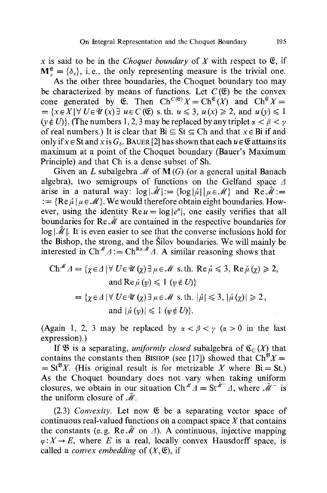x is said to be in the *Choquet boundary* of X with respect to  $\mathfrak{E}$ , if  $M^{\mathfrak{E}} = {\delta_x}$ , i.e., the only representing measure is the trivial one.

As the other three boundaries, the Choquet boundary too may be characterized by means of functions. Let  $C(\mathfrak{E})$  be the convex cone generated by  $\mathfrak{E}$ . Then  $\mathrm{Ch}^{C(\mathfrak{E})}X=\mathrm{Ch}^{\mathfrak{E}}(X)$  and  $\mathrm{Ch}^{\mathfrak{E}}X=$  $=\{x \in X | \forall U \in \mathcal{U}(x) \exists u \in C(\mathfrak{C}) \text{ s. th. } u \leq 3, u(x) \geq 2, \text{ and } u(y) \leq 1 \}$ ( $v \notin U$ ). (The numbers 1, 2, 3 may be replaced by any triplet  $\alpha < \beta < \gamma$ of real numbers.) It is clear that  $Bi \subseteq St \subseteq Ch$  and that  $x \in Bi$  if and only if  $x \in S$ t and  $x$  is  $G_s$ . BAUER [2] has shown that each  $u \in \mathfrak{E}$  attains its maximum at a point of the Choquet boundary (Bauer's Maximum Principle) and that Ch is a dense subset of Sh.

Given an L subalgebra  $\mathcal M$  of  $M(G)$  (or a general unital Banach algebra), two semigroups of functions on the Gelfand space  $\Delta$ arise in a natural way:  $log|\mathcal{M}|:= {log|\mathcal{L}| |\mu \in \mathcal{M}}$  and  $Re\mathcal{M}:=$ :  $=$  {Re  $\hat{u} | u \in M$  }. We would therefore obtain eight boundaries. However, using the identity  $\text{Re } u = \log |e^u|$ , one easily verifies that all boundaries for Re  $\hat{\mathcal{M}}$  are contained in the respective boundaries for  $log |\mathcal{M}|$ . It is even easier to see that the converse inclusions hold for the Bishop, the strong, and the Silov boundaries. We will mainly be interested in  $\mathrm{Ch}^{\mathcal{M}} \Delta := \mathrm{Ch}^{\mathrm{Re} \mathcal{M}} \Delta$ . A similar reasoning shows that

Ch<sup>*M*</sup> 
$$
\Delta = \{ \chi \in \Delta \mid \forall U \in \mathcal{U} (\chi) \exists \mu \in \mathcal{M} \text{ s. th. Re } \hat{\mu} \leq 3, \text{Re } \hat{\mu} (\chi) \geq 2, \text{ and Re } \hat{\mu} (\psi) \leq 1 \ (\psi \notin U) \}
$$
  

$$
= \{ \chi \in \Delta \mid \forall U \in \mathcal{U} (\chi) \exists \mu \in \mathcal{M} \text{ s. th. } |\hat{\mu}| \leq 3, |\hat{\mu} (\chi)| \geq 2, \text{ and } |\hat{\mu} (\psi)| \leq 1 \ (\psi \notin U) \}.
$$

(Again 1, 2, 3 may be replaced by  $\alpha < \beta < \gamma$  ( $\alpha > 0$  in the last expression).)

If  $\mathfrak{B}$  is a separating, *uniformly closed* subalgebra of  $\mathfrak{C}_{\mathfrak{C}}(X)$  that contains the constants then BISHOP (see [17]) showed that  $\text{Ch}^{\mathfrak{B}}X=$  $= St^{B}X$ . (His original result is for metrizable X where Bi = St.) As the Choquet boundary does not vary when taking uniform closures, we obtain in our situation Ch<sup>#</sup>  $\vec{A} = \text{St}^{\hat{A}^{-}} \vec{A}$ , where  $\hat{M}^{-}$  is the uniform closure of  $\hat{\mathcal{M}}$ .

 $(2.3)$  *Convexity.* Let now  $\mathfrak E$  be a separating vector space of continuous real-valued functions on a compact space  $X$  that contains the constants (e. g. Re  $\hat{\mathcal{M}}$  on  $\Delta$ ). A continuous, injective mapping  $\varphi: X \to E$ , where E is a real, locally convex Hausdorff space, is called a *convex embedding* of  $(X, \mathfrak{C})$ , if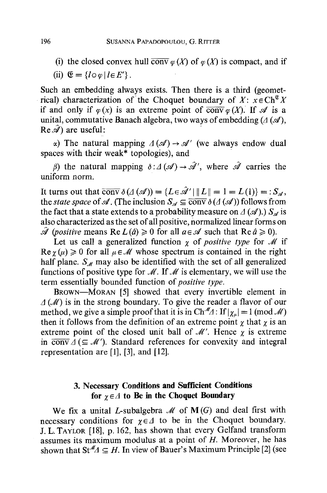(i) the closed convex hull conv  $\varphi(X)$  of  $\varphi(X)$  is compact, and if

(ii) 
$$
\mathfrak{E} = \{ \log | \, l \in E' \}
$$
.

Such an embedding always exists. Then there is a third (geometrical) characterization of the Choquet boundary of  $X: x \in Ch^{\mathfrak{G}} X$ if and only if  $\varphi(x)$  is an extreme point of  $\overline{conv} \varphi(X)$ . If  $\mathscr A$  is a unital, commutative Banach algebra, two ways of embedding  $(A \times A)$ ,  $Re \hat{\mathscr{A}}$  are useful:

 $\alpha$ ) The natural mapping  $\Delta(\mathcal{A}) \rightarrow \mathcal{A}'$  (we always endow dual spaces with their weak\* topologies), and

 $\beta$ ) the natural mapping  $\delta : A(\mathcal{A}) \to \mathcal{A}'$ , where  $\mathcal{A}$  carries the uniform norm.

It turns out that  $\overline{conv} \, \delta(A(\mathcal{A})) = \{L \in \mathcal{A}' \mid ||L|| = 1 = L(1)\} = :S_{\mathcal{A}},$ the *state space* of A. (The inclusion  $S_{\mathscr{A}} \subseteq \overline{\text{conv}} \, \delta(A(\mathscr{A}))$  follows from the fact that a state extends to a probability measure on  $\Delta(\mathscr{A})$ .)  $S_{\mathscr{A}}$  is also characterized as the set of all positive, normalized linear forms on  $\hat{\mathscr{A}}$  (*positive* means Re  $L(\hat{a}) \geq 0$  for all  $a \in \mathscr{A}$  such that Re  $\hat{a} \geq 0$ ).

Let us call a generalized function  $\gamma$  of *positive type* for M if  $\text{Re } \gamma(u) \geq 0$  for all  $\mu \in \mathcal{M}$  whose spectrum is contained in the right half plane.  $S_{\ell\ell}$  may also be identified with the set of all generalized functions of positive type for  $\mathcal{M}$ . If  $\mathcal{M}$  is elementary, we will use the term essentially bounded function *of positive type.* 

BROWN--MORAN [5] showed that every invertible element in  $\Delta(M)$  is in the strong boundary. To give the reader a flavor of our method, we give a simple proof that it is in  $\text{Ch}^{\mathcal{M}} \triangle 1$ : If  $|\chi_{\mu}| = 1 \pmod{\mathcal{M}}$ then it follows from the definition of an extreme point  $\chi$  that  $\chi$  is an extreme point of the closed unit ball of  $\mathcal{M}'$ . Hence  $\gamma$  is extreme in  $\overline{conv} \Delta (\subseteq \mathcal{M}')$ . Standard references for convexity and integral representation are [1], [3], and [12].

## **3. Necessary Conditions and Sufficient Conditions**  for  $\gamma \in \Lambda$  to Be in the Choquet Boundary

We fix a unital L-subalgebra  $\mathcal M$  of  $M(G)$  and deal first with necessary conditions for  $\chi \in \Lambda$  to be in the Choquet boundary. J. L. TAYtOR [18], p. 162, has shown that every Gelfand transform assumes its maximum modulus at a point of  $H$ . Moreover, he has shown that  $St^M \subseteq H$ . In view of Bauer's Maximum Principle [2] (see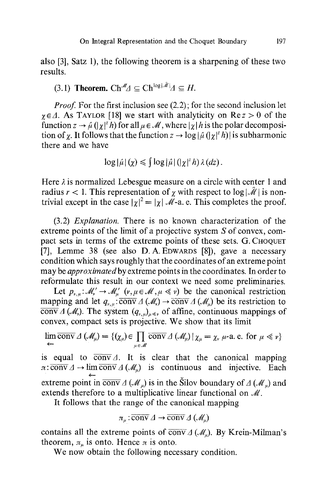also [3], Satz 1), the following theorem is a sharpening of these two results.

# (3.1) Theorem.  $\mathrm{Ch}^{\mathcal{M}} \Delta \subseteq \mathrm{Ch}^{\log |\mathcal{M}|} \Delta \subseteq H$ .

*Proof.* For the first inclusion see (2.2); for the second inclusion let  $\gamma \in \Lambda$ . As TAYLOR [18] we start with analyticity on Re  $z > 0$  of the function  $z \to \hat{\mu}$  ( $|\chi|^2 h$ ) for all  $\mu \in \mathcal{M}$ , where  $|\chi| h$  is the polar decomposition of  $\gamma$ . It follows that the function  $z \to \log|\hat{\mu}|(|\gamma|^2 h)|$  is subharmonic there and we have

$$
\log|\hat{\mu}|(\chi) \leq \int \log|\hat{\mu}|(|\chi|^2 h) \lambda(dz).
$$

Here  $\lambda$  is normalized Lebesgue measure on a circle with center 1 and radius  $r < 1$ . This representation of  $\gamma$  with respect to  $\log |\mathcal{M}|$  is nontrivial except in the case  $|\gamma|^2 = |\gamma| \mathcal{M}$ -a. e. This completes the proof.

(3.2) *Explanation.* There is no known characterization of the extreme points of the limit of a projective system S of convex, compact sets in terms of the extreme points of these sets. G. CHOQUET [7], Lemme 38 (see also D.A. EDWARDS [8]), gave a necessary condition which says roughly that the coordinates of an extreme point may be *approximatedby* extreme points in the coordinates. In order to reformulate this result in our context we need some preliminaries.

Let  $p_{v,\mu}: \mathcal{M}'_n \to \mathcal{M}'_n$   $(v,\mu \in \mathcal{M}, \mu \ll v)$  be the canonical restriction mapping and let  $q_{v,u}$ :  $\overline{conv} \Delta (\mathcal{M}_v) \rightarrow \overline{conv} \Delta (\mathcal{M}_u)$  be its restriction to  $\overline{\text{conv}}\,\Delta\,(\mathcal{M}_r)$ . The system  $(q_{r,u})_{u\leq r}$  of affine, continuous mappings of convex, compact sets is projective. We show that its limit

$$
\lim_{\leftarrow} \overline{\text{conv}} \,\Delta\,(\mathscr{M}_\mu) = \{(\chi_\mu) \in \prod_{\mu \in \mathscr{M}} \overline{\text{conv}} \,\Delta\,(\mathscr{M}_\mu) \,|\, \chi_\mu = \chi_\nu \,\mu\text{-a. e. for } \mu \ll \nu\}
$$

is equal to  $\overline{conv} \Delta$ . It is clear that the canonical mapping  $\pi: \overline{conv} \Delta \rightarrow \lim \overline{conv} \Delta \left( \mathcal{M}_n \right)$  is continuous and injective. Each  $\overline{\phantom{0}}$ extreme point in  $\overline{conv} \Delta(M_u)$  is in the Silov boundary of  $\Delta(M_u)$  and extends therefore to a multiplicative linear functional on  $\mathcal{M}$ .

It follows that the range of the canonical mapping

$$
\pi_{\mu}:\overline{\mathrm{conv}}\,\varDelta\to\overline{\mathrm{conv}}\,\varDelta\left(\mathscr{M}_{\mu}\right)
$$

contains all the extreme points of  $\overline{conv} \Delta (M_*)$ . By Krein-Milman's theorem,  $\pi_u$  is onto. Hence  $\pi$  is onto.

We now obtain the following necessary condition.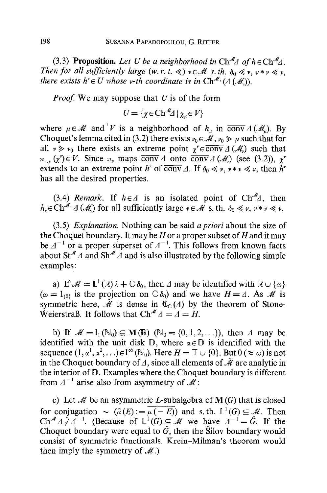(3.3) **Proposition.** Let U be a neighborhood in  $\text{Ch}^M\Delta$  of  $h \in \text{Ch}^M\Delta$ . *Then for all sufficiently large (w. r. t.*  $\leq$ *)*  $v \in M$  *s. th.*  $\delta_0 \leq v$ *,*  $v * v \leq v$ *. there exists h<sup>\*</sup>*  $\in$  *U* whose *v*-th coordinate is in Ch<sup>-*M*</sup></sub> ( $\Delta$  ( $\mathcal{M}$ )).

*Proof.* We may suppose that U is of the form

$$
U = \{ \chi \in \mathbf{Ch}^M \mathcal{A} \mid \chi_{\mu} \in V \}
$$

where  $\mu \in \mathcal{M}$  and V is a neighborhood of  $h_n$  in  $\overline{conv} \Delta(\mathcal{M}_n)$ . By Choquet's lemma cited in (3.2) there exists  $v_0 \in \mathcal{M}$ ,  $v_0 \geq \mu$  such that for all  $v \gg v_0$  there exists an extreme point  $\chi^* \in \overline{conv} \Delta (\mathcal{M}_v)$  such that  $\pi_{v,u}(x) \in V$ . Since  $\pi_v$  maps conv A onto conv A (M) (see (3.2)),  $\chi^v$ extends to an extreme point h' of  $\overline{conv} \Delta$ . If  $\delta_0 \ll v, v * v \ll v$ , then h' has all the desired properties.

(3.4) *Remark*. If  $h \in \Lambda$  is an isolated point of Ch<sup>- $M_{\Lambda}$ </sup>, then  $h_* \in \mathrm{Ch}^{\mathcal{M}}$   $\Delta(\mathcal{M}_*)$  for all sufficiently large  $v \in \mathcal{M}$  s. th.  $\delta_0 \ll v$ ,  $v * v \ll v$ .

(3.5) *Explanation.* Nothing can be said *a priori* about the size of the Choquet boundary. It may be  $H$  or a proper subset of  $H$  and it may be  $\Delta^{-1}$  or a proper superset of  $\Delta^{-1}$ . This follows from known facts about St<sup> $M \Delta$ </sup> and Sh<sup> $M \Delta$ </sup> and is also illustrated by the following simple examples:

a) If  $\mathcal{M} = \mathbb{L}^1(\mathbb{R})\lambda + \mathbb{C}\delta_0$ , then  $\Delta$  may be identified with  $\mathbb{R} \cup \{\omega\}$  $(\omega = 1_{0}$  is the projection on  $\mathbb{C} \delta_0$  and we have  $H = \Delta$ . As  $\mathcal{M}$  is symmetric here,  $\hat{\mathcal{M}}$  is dense in  $\mathfrak{C}_{\mathbb{C}}(\Lambda)$  by the theorem of Stone-Weierstraß. It follows that  $\text{Ch}^{\mathcal{M}} A = A = H$ .

b) If  $\mathcal{M} = I_1(\mathbb{N}_0) \subseteq \mathbf{M}(\mathbb{R})$  ( $\mathbb{N}_0 = \{0, 1, 2, \ldots\}$ ), then A may be identified with the unit disk  $\mathbb{D}$ , where  $\alpha \in \mathbb{D}$  is identified with the sequence  $(1, \alpha^1, \alpha^2, \ldots) \in I^{\infty}(\mathbb{N}_0)$ . Here  $H = \mathbb{T} \cup \{0\}$ . But  $0 \, (\approx \omega)$  is not in the Choquet boundary of A, since all elements of  $\hat{\mathcal{M}}$  are analytic in the interior of  $D$ . Examples where the Choquet boundary is different from  $\Delta^{-1}$  arise also from asymmetry of  $\overline{\mathcal{M}}$ :

c) Let  $\mathcal M$  be an asymmetric L-subalgebra of  $M(G)$  that is closed for conjugation  $\sim (\tilde{\mu}(E) := \overline{\mu(-E)})$  and s. th.  $L^1(G) \subseteq M$ . Then  $Ch^{\mathcal{M}} \trianglelefteq \trianglelefteq \triangle^{-1}$ . (Because of  $\mathbb{L}^{1}(G) \subseteq \mathcal{M}$  we have  $A^{-1}=\hat{G}$ . If the Choquet boundary were equal to  $\hat{G}$ , then the Silov boundary would consist of symmetric functionals. Krein-Milman's theorem would then imply the symmetry of  $M$ .)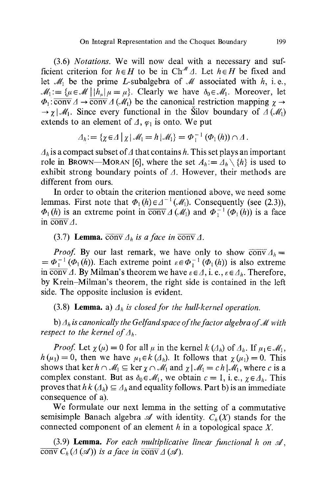(3.6) *Notations.* We will now deal with a necessary and sufficient criterion for  $h \in H$  to be in Ch<sup>#</sup>  $\Delta$ . Let  $h \in H$  be fixed and let  $\mathcal{M}_1$  be the prime L-subalgebra of  $\mathcal M$  associated with h, i.e.,  $M_1 := {\mu \in \mathcal{M} \mid |h_u| \mu = \mu}.$  Clearly we have  $\delta_0 \in \mathcal{M}_1$ . Moreover, let  $\Phi_1$ :  $\overline{\text{conv}} \Delta \rightarrow \overline{\text{conv}} \Delta (\mathcal{M}_1)$  be the canonical restriction mapping  $\gamma \rightarrow$  $\rightarrow \gamma$  |  $\mathcal{M}_1$ . Since every functional in the Silov boundary of  $\Delta (\mathcal{M}_1)$ extends to an element of  $\Delta$ ,  $\varphi_1$  is onto. We put

$$
\varDelta_h := \{ \chi \in \varDelta \mid \chi \mid \mathscr{M}_1 = h \mid \mathscr{M}_1 \} = \varPhi_1^{-1} \left( \varPhi_1(h) \right) \cap \varDelta \, .
$$

 $A_h$  is a compact subset of  $\Delta$  that contains h. This set plays an important role in BROWN-MORAN [6], where the set  $A_h := A_h \setminus \{h\}$  is used to exhibit strong boundary points of  $\Delta$ . However, their methods are different from ours.

In order to obtain the criterion mentioned above, we need some lemmas. First note that  $\Phi_1(h) \in \Delta^{-1}(\mathcal{M}_1)$ . Consequently (see (2.3)),  $\Phi_1(h)$  is an extreme point in  $\overline{conv} \Delta (\mathcal{M}_1)$  and  $\Phi_1^{-1} (\Phi_1(h))$  is a face in  $\overline{\text{conv}}\Delta$ .

(3.7) **Lemma.** conv  $\Delta_h$  is a face in conv  $\Delta$ .

*Proof.* By our last remark, we have only to show  $\overline{conv} A_h =$  $= \Phi_1^{-1} (\Phi_1(h))$ . Each extreme point  $\varepsilon \in \Phi_1^{-1} (\Phi_1(h))$  is also extreme in  $\overline{\text{conv}}\,\Delta$ . By Milman's theorem we have  $\epsilon \in \Delta$ , i. e.,  $\epsilon \in \Delta_h$ . Therefore, by Krein-Milman's theorem, the right side is contained in the left side. The opposite inclusion is evident.

(3.8) **Lemma.** a)  $\Delta_h$  is closed for the hull-kernel operation.

b)  $\Delta_h$  is canonically the Gelfand space of the factor algebra of M with *respect to the kernel of*  $\Lambda_h$ .

*Proof.* Let  $\chi(\mu) = 0$  for all  $\mu$  in the kernel  $k(\Lambda_h)$  of  $\Lambda_h$ . If  $\mu_1 \in \mathcal{M}_1$ ,  $h(\mu_1) = 0$ , then we have  $\mu_1 \in k(\Lambda_h)$ . It follows that  $\chi(\mu_1) = 0$ . This shows that ker  $h \cap M_1 \subseteq \ker \chi \cap M_1$  and  $\chi | M_1 = c h | M_1$ , where c is a complex constant. But as  $\delta_0 \in \mathcal{M}_1$ , we obtain  $c = 1$ , i. e.,  $\gamma \in \Delta_h$ . This proves that  $h k(\Lambda_h) \subseteq \Lambda_h$  and equality follows. Part b) is an immediate consequence of a).

We formulate our next lemma in the setting of a commutative semisimple Banach algebra  $\mathscr A$  with identity.  $C_h(X)$  stands for the connected component of an element  $h$  in a topological space  $X$ .

(3.9) Lemma. For each multiplicative linear functional h on  $\mathcal{A}$ , conv  $C_h(\Lambda(\mathcal{A}))$  is a face in conv  $\Lambda(\mathcal{A})$ .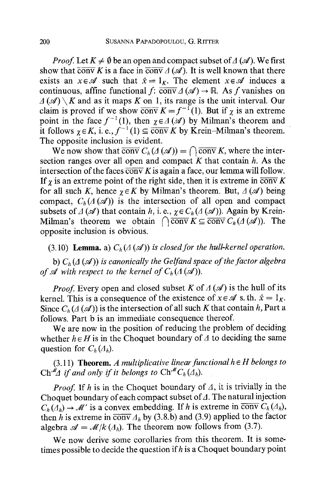*Proof.* Let  $K \neq \emptyset$  be an open and compact subset of  $\Lambda(\mathcal{A})$ . We first show that  $\overline{conv} K$  is a face in  $\overline{conv} \Delta (\mathcal{A})$ . It is well known that there exists an  $x \in \mathcal{A}$  such that  $\hat{x} = 1_K$ . The element  $x \in \mathcal{A}$  induces a continuous, affine functional f:  $\overline{conv} \Delta(\mathcal{A}) \rightarrow \mathbb{R}$ . As f vanishes on  $\Delta(\mathscr{A}) \setminus K$  and as it maps K on 1, its range is the unit interval. Our claim is proved if we show conv  $K = f^{-1}(1)$ . But if  $\chi$  is an extreme point in the face  $f^{-1}(1)$ , then  $\chi \in A(\mathcal{A})$  by Milman's theorem and it follows  $\gamma \in K$ , i. e.,  $f^{-1}(1) \subseteq \overline{conv} K$  by Krein-Milman's theorem. The opposite inclusion is evident.

We now show that  $\overline{conv} C_h(\Lambda(\mathcal{A})) = \bigcap \overline{conv} K$ , where the intersection ranges over all open and compact  $K$  that contain  $h$ . As the intersection of the faces  $\overline{conv} K$  is again a face, our lemma will follow. If  $\gamma$  is an extreme point of the right side, then it is extreme in  $\overline{conv} K$ for all such K, hence  $\gamma \in K$  by Milman's theorem. But,  $\Delta(\mathscr{A})$  being compact,  $C_h(A(\mathcal{A}))$  is the intersection of all open and compact subsets of  $\Lambda(\mathcal{A})$  that contain h, i. e.,  $\gamma \in C_h(\Lambda(\mathcal{A})).$  Again by Krein-Milman's theorem we obtain  $\bigcap \overline{\text{conv}} K \subseteq \overline{\text{conv}} C_h(A(\mathcal{A})).$  The opposite inclusion is obvious.

(3.10) **Lemma.** a)  $C_h(\Lambda(\mathcal{A}))$  is closed for the hull-kernel operation.

b)  $C_h(A(\mathcal{A}))$  is canonically the Gelfand space of the factor algebra *of A with respect to the kernel of*  $C_h(\Lambda(\mathcal{A})))$ *.* 

*Proof.* Every open and closed subset K of  $\Delta(\mathcal{A})$  is the hull of its kernel. This is a consequence of the existence of  $x \in \mathcal{A}$  s. th.  $\hat{x} = 1_K$ . Since  $C_b(\Lambda(\mathcal{A}))$  is the intersection of all such K that contain h, Part a follows. Part b is an immediate consequence thereof.

We are now in the position of reducing the problem of deciding whether  $h \in H$  is in the Choquet boundary of  $\Lambda$  to deciding the same question for  $C_h(\Lambda_h)$ .

 $(3.11)$  **Theorem.** *A multiplicative linear functional*  $h \in H$  *belongs to*  $\mathrm{Ch}^{\hat{\mathcal{M}}}\Delta$  *if and only if it belongs to*  $\mathrm{Ch}^{\mathcal{M}}C_h(\Delta_h)$ .

*Proof.* If h is in the Choquet boundary of  $\Delta$ , it is trivially in the Choquet boundary of each compact subset of  $\Delta$ . The natural injection  $C_h(\overline{A}_h) \to \mathcal{M}'$  is a convex embedding. If h is extreme in  $\overline{conv} C_h(A_h)$ , then h is extreme in  $\overline{conv} \Delta_h$  by (3.8.b) and (3.9) applied to the factor algebra  $\mathcal{A} = \mathcal{M}/k (\Lambda_h)$ . The theorem now follows from (3.7).

We now derive some corollaries from this theorem. It is sometimes possible to decide the question if  $h$  is a Choquet boundary point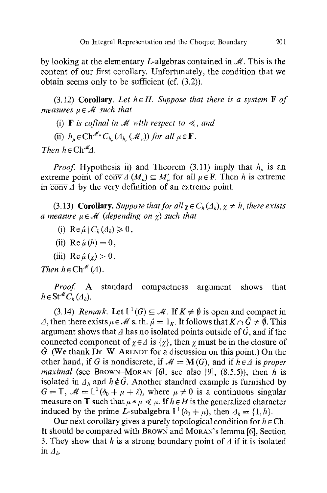by looking at the elementary L-algebras contained in  $\mathcal{M}$ . This is the content of our first corollary. Unfortunately, the condition that we obtain seems only to be sufficient (cf. (3.2)).

(3.12) Corollary. Let  $h \in H$ . Suppose that there is a system  $F$  of *measures*  $u \in M$  *such that* 

(i) **F** is cofinal in  $M$  with respect to  $\ll$ , and

(ii)  $h_n \in \mathrm{Ch}^{\mathcal{M}_\mu} C_{h_n}(\Lambda_{h_n}(\mathcal{M}_n))$  for all  $\mu \in \mathbf{F}$ .

*Then*  $h \in \mathbb{C}h^M A$ .

*Proof.* Hypothesis ii) and Theorem (3.11) imply that  $h_{\mu}$  is an extreme point of  $\overline{conv} \Delta(M_u) \subseteq M'_u$  for all  $\mu \in \mathbf{F}$ . Then h is extreme in  $\overline{conv} \overline{A}$  by the very definition of an extreme point.

(3.13) **Corollary.** *Suppose that for all*  $\chi \in C_h(\Lambda_h)$ ,  $\chi \neq h$ , there exists *a measure*  $\mu \in \mathcal{M}$  *(depending on*  $\gamma$ *) such that* 

- (i)  $\operatorname{Re} \hat{\mu} | C_h(A_h) \geq 0$ ,
- (ii) Re  $\hat{u}$  (h) = 0.
- (iii) Re  $\hat{\mu}(\gamma) > 0$ .

*Then*  $h \in \text{Ch}^{\mathcal{M}}(\varDelta)$ .

Proof. A standard compactness argument shows that  $h \in St^{\mathcal{M}} C_h(\Lambda_h)$ .

(3.14) *Remark.* Let  $L^1(G) \subseteq M$ . If  $K \neq \emptyset$  is open and compact in A, then there exists  $\mu \in \mathcal{M}$  s. th.  $\hat{\mu} = 1_K$ . It follows that  $K \cap \hat{G} \neq \emptyset$ . This argument shows that  $\Delta$  has no isolated points outside of  $\hat{G}$ , and if the connected component of  $\gamma \in \Delta$  is  $\{\gamma\}$ , then  $\gamma$  must be in the closure of  $\hat{G}$ . (We thank Dr. W. ARENDT for a discussion on this point.) On the other hand, if G is nondiscrete, if  $\mathcal{M} = M(G)$ , and if  $h \in \Delta$  is *proper maximal* (see BROWN-MORAN [6], see also [9],  $(8.5.5)$ ), then h is isolated in  $A_h$  and  $h \notin \hat{G}$ . Another standard example is furnished by  $G = \mathbb{T}$ ,  $\mathcal{M} = \mathbb{L}^1(\delta_0 + \mu + \lambda)$ , where  $\mu \neq 0$  is a continuous singular measure on  $\mathbb T$  such that  $\mu * \mu \ll \mu$ . If  $h \in H$  is the generalized character induced by the prime L-subalgebra  $\mathbb{L}^1(\delta_0 + \mu)$ , then  $\Delta_h = \{1, h\}$ .

Our next corollary gives a purely topological condition for  $h \in Ch$ . It should be compared with BROWN and MORAN'S lemma [6], Section 3. They show that h is a strong boundary point of  $\Lambda$  if it is isolated in  $A_h$ .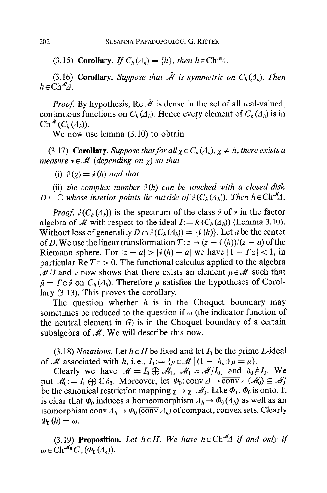(3.15) Corollary. *If*  $C_h(\Lambda_h) = \{h\}$ , *then*  $h \in \text{Ch}^M \Lambda$ .

(3.16) **Corollary.** *Suppose that*  $\hat{\mathcal{M}}$  *is symmetric on*  $C_h(\Lambda_h)$ *. Then*  $h \in \text{Ch}^M A$ .

*Proof.* By hypothesis, Re  $\hat{\mathcal{M}}$  is dense in the set of all real-valued, continuous functions on  $C_h(\Lambda_h)$ . Hence every element of  $C_h(\Lambda_h)$  is in  $\mathrm{Ch}^{\mathcal{M}}(C_h(\varDelta_h)).$ 

We now use lemma (3.10) to obtain

(3.17) **Corollary.** *Suppose that for all*  $\chi \in C_h(\Lambda_h)$ ,  $\chi \neq h$ , there exists a *measure*  $v \in M$  (depending on  $\gamma$ ) so that

(i)  $\hat{v}(\chi) = \hat{v}(h)$  *and that* 

(ii) the complex number  $\hat{v}(h)$  can be touched with a closed disk  $D \subseteq \mathbb{C}$  whose interior points lie outside of  $\hat{v}(C_h(A_h))$ . Then  $h \in \text{Ch}^M A$ .

*Proof.*  $\hat{v}(C_h(\Lambda_h))$  is the spectrum of the class  $\dot{v}$  of  $v$  in the factor algebra of M with respect to the ideal  $I := k(C_h(\Delta_h))$  (Lemma 3.10). Without loss of generality  $D \cap \hat{v}(C_h(\Lambda_h)) = {\hat{v}(h)}$ . Let a be the center of D. We use the linear transformation  $T: z \to (z - \hat{v}(h))/(z - a)$  of the Riemann sphere. For  $|z - a| > |\hat{v}(h) - a|$  we have  $|1 - Tz| < 1$ , in particular  $\text{Re } Tz > 0$ . The functional calculus applied to the algebra  $\mathcal{M}/I$  and  $\dot{v}$  now shows that there exists an element  $\mu \in \mathcal{M}$  such that  $\hat{\mu} = T \circ \hat{v}$  on  $C_h(\Lambda_h)$ . Therefore  $\mu$  satisfies the hypotheses of Corollary (3.13). This proves the corollary.

The question whether  $h$  is in the Choquet boundary may sometimes be reduced to the question if  $\omega$  (the indicator function of the neutral element in  $G$ ) is in the Choquet boundary of a certain subalgebra of  $M$ . We will describe this now.

(3.18) *Notations.* Let  $h \in H$  be fixed and let  $I_0$  be the prime *L*-ideal of M associated with h, i.e.,  $I_0 := \{ \mu \in \mathcal{M} \mid (1 - |h_u|) \mu = \mu \}.$ 

Clearly we have  $\mathcal{M} = I_0 \oplus \mathcal{M}_1$ ,  $\mathcal{M}_1 \simeq \mathcal{M}/I_0$ , and  $\delta_0 \notin I_0$ . We put  $\mathcal{M}_0 := I_0 \oplus \mathbb{C} \delta_0$ . Moreover, let  $\Phi_0$ : conv  $\Delta \to \overline{\text{conv}} \Delta (\mathcal{M}_0) \subseteq \mathcal{M}_0'$ be the canonical restriction mapping  $\chi \to \chi / M_0$ . Like  $\Phi_1$ ,  $\Phi_0$  is onto. It is clear that  $\Phi_0$  induces a homeomorphism  $A_h \to \Phi_0 (A_h)$  as well as an isomorphism  $\overline{conv} \Lambda_h \to \Phi_0(\overline{conv} \Lambda_h)$  of compact, convex sets. Clearly  $\Phi_0(h) = \omega.$ 

(3.19) **Proposition.** Let  $h \in H$ . We have  $h \in \text{Ch}^M A$  if and only if  $\omega \in \mathrm{Ch}^{\mathcal{M}_0}C_{\omega}(\overline{\varPhi_0}(\varLambda_h)).$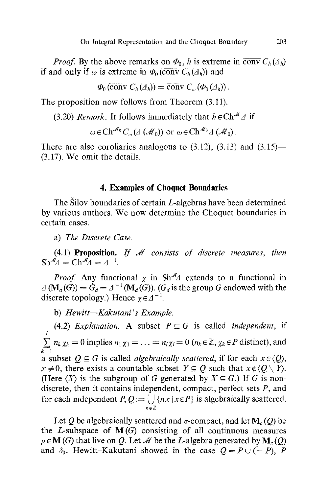*Proof.* By the above remarks on  $\Phi_0$ , h is extreme in conv  $C_h(\Lambda_h)$ if and only if  $\omega$  is extreme in  $\Phi_0$  (conv  $C_h(\Lambda_h)$ ) and

$$
\Phi_0(\overline{\operatorname{conv}}\;C_h(\varLambda_h))=\overline{\operatorname{conv}}\;C_\omega(\Phi_0(\varLambda_h)).
$$

The proposition now follows from Theorem (3.11).

(3.20) *Remark*. It follows immediately that  $h \in \text{Ch}^{\mathcal{M}} \Delta$  if

$$
\omega \in \mathrm{Ch}^{\mathcal{M}_0} C_{\omega} (\mathcal{A}(\mathcal{M}_0)) \text{ or } \omega \in \mathrm{Ch}^{\mathcal{M}_0} \mathcal{A}(\mathcal{M}_0).
$$

There are also corollaries analogous to  $(3.12)$ ,  $(3.13)$  and  $(3.15)$ — (3.17). We omit the details.

### **4. Examples of Choquet Boundaries**

The Silov boundaries of certain L-algebras have been determined by various authors. We now determine the Choquet boundaries in certain cases.

a) *The Discrete Case.* 

(4.1) Proposition. *If J/ consists of discrete measures, then*   $\text{Sh}^{\mathcal{M}}\mathcal{A} = \text{Ch}^{\mathcal{M}}\mathcal{A} = \mathcal{A}^{-1}.$ 

*Proof.* Any functional  $\chi$  in Sh<sup>- $M$ </sup> extends to a functional in  $\Delta (\mathbf{M}_d(G)) = \hat{G}_d = \Delta^{-1}(\mathbf{M}_d(G))$ . (G<sub>d</sub> is the group G endowed with the discrete topology.) Hence  $\chi \in A^{-1}$ .

b) *Hewitt--Kakutani's Example.* 

(4.2) *Explanation.* A subset  $P \subseteq G$  is called *independent*, if l  $n_k \chi_k = 0$  implies  $n_1 \chi_1 = \ldots = n_l \chi_l = 0$   $(n_k \in \mathbb{Z}, \chi_k \in P$  distinct), and  $k=1$ a subset  $Q \subseteq G$  is called *algebraically scattered*, if for each  $x \in \langle Q \rangle$ ,  $x \neq 0$ , there exists a countable subset  $Y \subseteq Q$  such that  $x \notin \langle Q \setminus Y \rangle$ . (Here  $\langle X \rangle$  is the subgroup of G generated by  $X \subseteq G$ .) If G is nondiscrete, then it contains independent, compact, perfect sets  $P$ , and for each independent  $P, Q := \bigcup \{ nx \mid x \in P \}$  is algebraically scattered. n~Z

Let Q be algebraically scattered and  $\sigma$ -compact, and let  $M_c(Q)$  be the *L*-subspace of  $M(G)$  consisting of all continuous measures  $\mu \in M(G)$  that live on Q. Let M be the L-algebra generated by  $M_c(Q)$ and  $\delta_0$ . Hewitt-Kakutani showed in the case  $Q = P \cup (-P)$ , P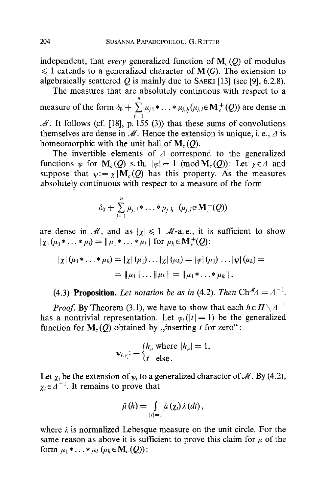independent, that *every* generalized function of  $M_c(O)$  of modulus  $\leq 1$  extends to a generalized character of M(G). The extension to algebraically scattered  $Q$  is mainly due to SAEKI [13] (see [9], 6.2.8).

The measures that are absolutely continuous with respect to a measure of the form  $\delta_0 + \sum_{i} \mu_{i1} * \ldots * \mu_{i,l} (\mu_{i,l} \in M_c^+ (Q))$  are dense in  $\boldsymbol{n}$  $j=1$  $M$ . It follows (cf. [18], p. 155 (3)) that these sums of convolutions themselves are dense in  $\mathcal M$ . Hence the extension is unique, i. e.,  $\Delta$  is homeomorphic with the unit ball of  $M_c(Q)$ .

The invertible elements of  $\Lambda$  correspond to the generalized functions  $\psi$  for  $M_c(Q)$  s. th.  $|\psi|=1$  (mod  $M_c(Q)$ ): Let  $\gamma \in \Lambda$  and suppose that  $v := \chi |M_c(Q)$  has this property. As the measures absolutely continuous with respect to a measure of the form

$$
\delta_0 + \sum_{j=1}^n \mu_{j,1} * \ldots * \mu_{j,l_j} \ (\mu_{j,l} \in \mathbf{M}_c^+(Q))
$$

are dense in  $\mathcal{M}$ , and as  $|\gamma| \leq 1$   $\mathcal{M}$ -a.e., it is sufficient to show  $|\chi|(\mu_1 * \ldots * \mu_l) = ||\mu_1 * \ldots * \mu_l||$  for  $\mu_k \in M_{\kappa}^+(Q)$ :

$$
|\chi|(\mu_1 * \ldots * \mu_k) = |\chi|(\mu_1) \ldots |\chi|(\mu_k) = |\psi|(\mu_1) \ldots |\psi|(\mu_k) =
$$
  
=  $||\mu_1|| \ldots ||\mu_k|| = ||\mu_1 * \ldots * \mu_k||.$ 

**(4.3) Proposition.** *Let notation be as in* **(4.2)**. *Then*  $\text{Ch}^{\mathcal{M}}A = A^{-1}$ .

*Proof.* By Theorem (3.1), we have to show that each  $h \in H \setminus A^{-1}$ has a nontrivial representation. Let  $\psi_t(|t| = 1)$  be the generalized function for  $M_c(Q)$  obtained by ,,inserting t for zero":

$$
\psi_{t,\mu} := \begin{cases} h_{\mu} \text{ where } |h_{\mu}| = 1, \\ t \text{ else.} \end{cases}
$$

Let  $\chi_t$  be the extension of  $\psi_t$  to a generalized character of M. By (4.2),  $\chi_t \in \widetilde{A}^{-1}$ . It remains to prove that

$$
\hat{\mu}(h) = \int\limits_{|t|=1} \hat{\mu}(\chi_t) \,\lambda(dt),
$$

where  $\lambda$  is normalized Lebesque measure on the unit circle. For the same reason as above it is sufficient to prove this claim for  $\mu$  of the form  $\mu_1 * ... * \mu_l$  ( $\mu_k \in M_c(Q)$ ):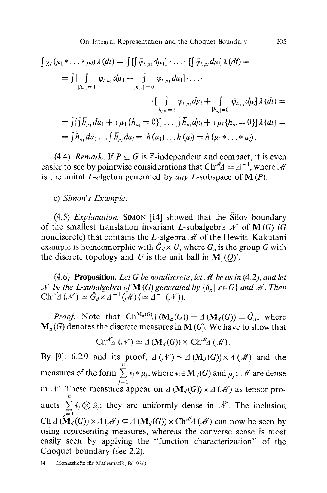$$
\int \chi_t(\mu_1 * \dots * \mu_l) \,\lambda(dt) = \int \left[ \int \bar{\psi}_{t,\mu_1} d\mu_1 \right] \cdot \dots \cdot \left[ \int \bar{\psi}_{t,\mu_l} d\mu_l \right] \lambda(dt) =
$$
\n
$$
= \int \left[ \int \bar{\psi}_{t,\mu_1} d\mu_1 + \int \bar{\psi}_{t,\mu_1} d\mu_1 \right] \cdot \dots \cdot
$$
\n
$$
\cdot \left[ \int \bar{\psi}_{t,\mu_l} d\mu_l + \int \bar{\psi}_{t,\mu_l} d\mu_l \right] \cdot \dots \cdot
$$
\n
$$
\cdot \left[ \int \bar{\psi}_{t,\mu_l} d\mu_l + \int \bar{\psi}_{t,\mu_l} d\mu_l \right] \lambda(dt) =
$$
\n
$$
= \int \left[ \int \bar{h}_{\mu_1} d\mu_1 + t \mu_1 \{ h_{\mu_1} = 0 \} \right] \dots \left[ \int \bar{h}_{\mu_l} d\mu_l + t \mu_l \{ h_{\mu_l} = 0 \} \right] \lambda(dt) =
$$
\n
$$
= \int \bar{h}_{\mu_1} d\mu_1 \dots \int \bar{h}_{\mu_l} d\mu_l = h(\mu_1) \dots h(\mu_l) = h(\mu_1 * \dots * \mu_l).
$$

(4.4) *Remark*. If  $P \subseteq G$  is  $\mathbb{Z}$ -independent and compact, it is even easier to see by pointwise considerations that  $\text{Ch}^{\mathcal{M}} \Delta = \Delta^{-1}$ , where  $\mathcal{M}$ is the unital L-algebra generated by *any* L-subspace of M (P).

c) *Simon's Example.* 

(4.5) *Explanation.* SIMON [14] showed that the Silov boundary of the smallest translation invariant L-subalgebra  $\mathcal N$  of M(G) (G) nondiscrete) that contains the L-algebra  $\mathcal M$  of the Hewitt-Kakutani example is homeomorphic with  $\hat{G}_d \times U$ , where  $G_d$  is the group G with the discrete topology and U is the unit ball in  $M_c(O)'$ .

 $(4.6)$  **Proposition.** Let G be nondiscrete, let M be as in  $(4.2)$ , and let *N* be the L-subalgebra of **M** (G) generated by  $\{\delta_x | x \in G\}$  and *M*. Then  $\mathrm{Ch}^{\mathcal{N}}(A(\mathcal{N}) \simeq \hat{G}_d \times \mathcal{A}^{-1}(\mathcal{M}) \left( \simeq \mathcal{A}^{-1}(\mathcal{N}) \right).$ 

*Proof.* Note that  $Ch^{M_d(G)} \triangleleft (M_d(G)) = \triangleleft (M_d(G)) = \hat{G}_d$ , where  $M_d(G)$  denotes the discrete measures in M (G). We have to show that

$$
Ch^{\mathscr{N}}\!\mathcal{A}(\mathscr{N})\simeq \mathcal{A}(\mathbf{M}_d(G))\times Ch^{\mathscr{M}}\!\mathcal{A}(\mathscr{M}).
$$

By [9], 6.2.9 and its proof,  $\Lambda(\mathcal{N}) \simeq \Lambda(\mathbf{M}_d(G)) \times \Lambda(\mathcal{M})$  and the measures of the form  $\sum v_i * \mu_i$ , where  $v_i \in M_d(G)$  and  $\mu_i \in \mathcal{M}$  are dense  $j=1$ in N. These measures appear on  $\Lambda(\mathbf{M}_d(G)) \times \Lambda(\mathcal{M})$  as tensor products  $\sum \hat{v}_i \otimes \hat{\mu}_i$ ; they are uniformly dense in  $\mathcal{N}$ . The inclusion j~l  $Ch \triangleleft (M_d(G)) \times \triangleleft (\mathcal{M}) \subseteq \triangleleft (M_d(G)) \times Ch^{\mathcal{M}}(\mathcal{M})$  can now be seen by using representing measures, whereas the converse sense is most easily seen by applying the "function characterization" of the Choquet boundary (see 2.2).

14 Monatshefte für Mathematik, Bd. 93/3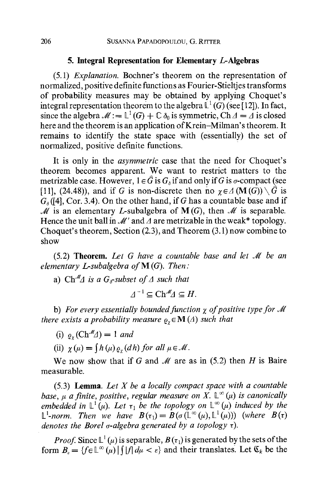## **5. Integral Representation for Elementary L-Algebras**

(5.1) *Explanation.* Bochner's theorem on the representation of normalized, positive definite functions as Fourier-Stieltjes transforms of probability measures may be obtained by applying Choquet's integral representation theorem to the algebra  $\mathbb{L}^1$  (G) (see [12]). In fact, since the algebra  $\mathcal{M} := \mathbb{L}^1(G) + \mathbb{C} \delta_0$  is symmetric,  $\mathrm{Ch} \Delta = \Delta$  is closed here and the theorem is an application of Krein-Milman's theorem. It remains to identify the state space with (essentially) the set of normalized, positive definite functions.

It is only in the *asymmetric* case that the need for Choquet's theorem becomes apparent. We want to restrict matters to the metrizable case. However,  $1 \in \hat{G}$  is  $G_{\delta}$  if and only if G is  $\sigma$ -compact (see [11], (24.48)), and if G is non-discrete then no  $\gamma \in \Lambda(\mathbf{M}(G)) \setminus \widehat{G}$  is  $G<sub>a</sub>(14)$ , Cor. 3.4). On the other hand, if G has a countable base and if  $M$  is an elementary L-subalgebra of  $M(G)$ , then M is separable. Hence the unit ball in  $\mathcal{M}'$  and  $\Lambda$  are metrizable in the weak\* topology. Choquet's theorem, Section (2.3), and Theorem (3.1) now combine to show

(5.2) **Theorem.** *Let G have a countable base and let Jig be an elementary L-subalgebra ofM (G). Then:* 

a)  $\mathrm{Ch}^{\mathcal{M}}\Delta$  *is a G<sub>s</sub>*-subset of  $\Delta$  such that

$$
\Delta^{-1} \subseteq Ch^M \Delta \subseteq H.
$$

b) For every essentially bounded function  $\gamma$  of positive type for M *there exists a probability measure*  $\rho_{\rm x} \in M(A)$  *such that* 

- (i)  $\varrho_r$  (Ch<sup>-M</sup> $\varDelta$ ) = 1 *and*
- (ii)  $\chi(\mu) = \int h(\mu) \rho_{\gamma}(dh)$  for all  $\mu \in \mathcal{M}$ .

We now show that if G and  $\mathcal M$  are as in (5.2) then H is Baire measurable.

(5.3) Lemma. *Let X be a locally compact space with a countable base,*  $\mu$  *a finite, positive, regular measure on X.*  $\mathbb{L}^{\infty}(\mu)$  *is canonically embedded in*  $\mathbb{L}^1(\mu)$ *. Let*  $\tau_1$  *be the topology on*  $\mathbb{L}^{\infty}(\mu)$  *induced by the*  $\mathbb{L}^1$ -norm. Then we have  $B(\tau_1)=B(\sigma(\mathbb{L}^{\infty}(\mu), \mathbb{L}^1(\mu)))$  (where  $B(\tau)$ ) *denotes the Borel g-algebra generated by a topology*  $\tau$ *).* 

*Proof.* Since  $\mathbb{L}^1(\mu)$  is separable,  $B(\tau_1)$  is generated by the sets of the form  $B_{\varepsilon} = \{ f \in \mathbb{L}^{\infty}(\mu) \mid \int |f| d\mu < \varepsilon \}$  and their translates. Let  $\mathfrak{C}_k$  be the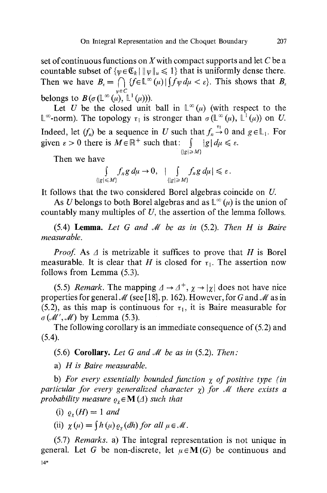set of continuous functions on X with compact supports and let  $C$  be a countable subset of  $\{w \in \mathfrak{C}_k \mid ||w||_{\mu} \leq 1\}$  that is uniformly dense there. Then we have  $B_{\varepsilon} = \bigcap \{f \in \mathbb{L}^{\infty}(\mu) | \int f \psi \, d\mu < \varepsilon\}.$  This shows that  $B_{\varepsilon}$  $\psi \in C$ belongs to  $B(\sigma(\mathbb{L}^{\infty}(\mu), \mathbb{L}^{\mathfrak{t}}(\mu)))$ .

Let U be the closed unit ball in  $\mathbb{L}^{\infty}(\mu)$  (with respect to the  $\mathbb{L}^{\infty}$ -norm). The topology  $\tau_1$  is stronger than  $\sigma(\mathbb{L}^{\infty}(\mu), \mathbb{L}^{\{1\}}(\mu))$  on U. Indeed, let  $(f_n)$  be a sequence in U such that  $f_n \stackrel{\tau_1}{\rightarrow} 0$  and  $g \in \mathbb{L}_1$ . For given  $\varepsilon > 0$  there is  $M \in \mathbb{R}^+$  such that:  $\int |g| d\mu \leq \varepsilon$ .

$$
\{|g|\geqslant M\}
$$

Then we have

$$
\int_{\{|g| \le M\}} f_n g \, d\mu \to 0, \quad |\int_{\{|g| \ge M\}} f_n g \, d\mu| \le \varepsilon.
$$

It follows that the two considered Borel algebras coincide on U.

As U belongs to both Borel algebras and as  $\mathbb{L}^{\infty}(\mu)$  is the union of countably many multiples of U, the assertion of the lemma follows.

(5.4) Lemma. *Let G and J// be as in* (5.2). *Then H is Bah'e measurable.* 

*Proof.* As  $\Delta$  is metrizable it suffices to prove that H is Borel measurable. It is clear that H is closed for  $\tau_1$ . The assertion now follows from Lemma (5.3).

(5.5) *Remark*. The mapping  $\Delta \rightarrow \Delta^+$ ,  $\chi \rightarrow |\chi|$  does not have nice properties for general  $\mathcal{M}$  (see [18], p. 162). However, for G and  $\mathcal{M}$  as in (5.2), as this map is continuous for  $\tau_1$ , it is Baire measurable for  $\sigma(M', M)$  by Lemma (5.3).

The following corollary is an immediate consequence of (5.2) and  $(5.4).$ 

(5.6) **Corollary.** *Let G and M be as in* (5.2). *Then:* 

a) *H is Baire measurable.* 

b) *For every essentially bounded function z of positive type (in particular for every generalized character*  $\chi$ *) for M there exists a probability measure*  $\rho_r \in M(\Lambda)$  *such that* 

(i)  $\rho_{\gamma}(H)=1$  and

(ii)  $\gamma(\mu) = (h(\mu) \rho_{\gamma}(dh))$  for all  $\mu \in \mathcal{M}$ .

(5.7) *Remarks.* a) The integral representation is not unique in general. Let G be non-discrete, let  $\mu \in M(G)$  be continuous and 14"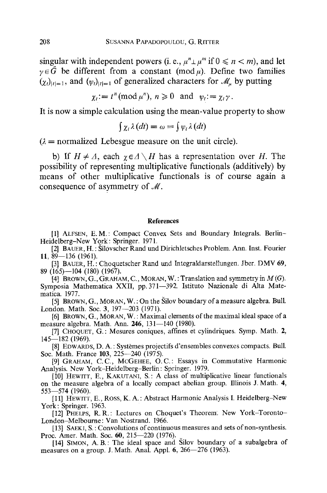singular with independent powers (i. e.,  $\mu^n \perp \mu^m$  if  $0 \le n \le m$ ), and let  $\gamma \in \hat{G}$  be different from a constant (mod  $\mu$ ). Define two families  $(\chi_t)_{|t|=1}$ , and  $(\psi_t)_{|t|=1}$  of generalized characters for  $\mathcal{M}_{\mu}$  by putting

$$
\chi_t
$$
 :=  $t^n \pmod{\mu^n}$ ,  $n \ge 0$  and  $\psi_t$  :=  $\chi_t \gamma$ .

It is now a simple calculation using the mean-value property to show

$$
\int \chi_t \lambda(dt) = \omega = \int \psi_t \lambda(dt)
$$

 $\lambda$  = normalized Lebesgue measure on the unit circle).

**b)** If  $H \neq A$ , each  $\chi \in A \setminus H$  has a representation over H. The **possibility of representing multiplicative functionals (additively) by means of other multiplicative functionals is of course again a**  consequence of asymmetry of  $M$ .

#### **References**

[1] ALFSEN, E. M.: Compact Convex Sets and Boundary Integrals. Berlin-Heidelberg-New York : Springer. 1971.

[2] BAUER, H. : Sil0vscher Rand und Dirichletsches Problem. Ann. Inst. Fourier 11, 89--136 (1961).

[3] BAUER, H.: Choquetscher Rand und Integraldarstellungen. Jber. DMV 69, 89 (165)--104 (180) (1967).

[4] BROWN, G., GRAHAM, C., MORAN, W.: Translation and symmetry in  $M(G)$ . Symposia Mathematica XXII, pp. 371-392. Istituto Nazionale di Alta Matematica. 1977.

[5] BROWN, G., MORAN, W. : On the Silov boundary of a measure algebra. Bull. London. Math. Soc. 3, 197-203 (1971).

[6] BROWN, G., MORAN, W. : Maximal elements of the maximal ideal space of a measure algebra. Math. Ann. 246, 131-140 (1980).

[7] CHOQUET, G.: Mesures coniques, affines et cylindriques. Symp. Math. 2, 145--182 (1969).

[8] EDWARDS, D. A. : Systèmes projectifs d'ensembles convexes compacts. Bull. Soc. Math. France 103, 225-240 (1975).

[9] GRAHAM, C.C., MCGEHEE, O.C.: Essays in Commutative Harmonic Analysis. New York-Heidelberg-Berlin: Springer. 1979.

[10] HEWITT, E., KAKUTANI, S.: A class of multiplicative linear functionals on the measure algebra of a locally compact abelian group. Illinois J. Math. 4, 553--574 (1960).

[11] HEWrrT, E., ROSS, K. A. : Abstract Harmonic Analysis I. Heidelberg-New York: Springer. 1963.

[12] PHELPS, R.R.: Lectures on Choquet's Theorem. New York-Toronto-London-Melbourne: Van Nostrand. 1966.

[13] SAEKI, S.: Convolutions of continuous measures and sets of non-synthesis. Proc. Amer. Math. Soc. 60, 215-220 (1976).

[14] SIMON, A. B.: The ideal space and Silov boundary of a subalgebra of measures on a group. J. Math. Anal. Appl. 6, 266-276 (1963).